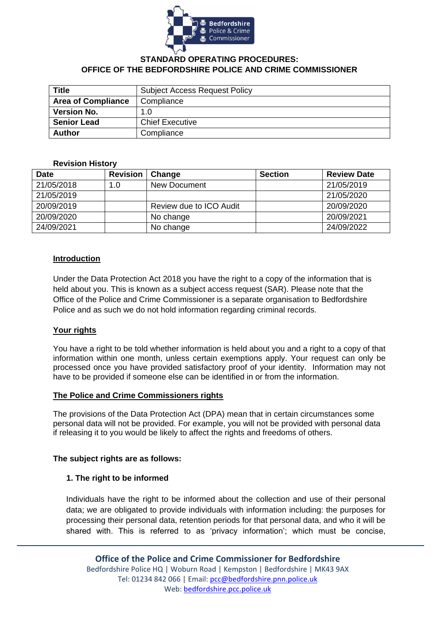

### **STANDARD OPERATING PROCEDURES: OFFICE OF THE BEDFORDSHIRE POLICE AND CRIME COMMISSIONER**

| <b>Title</b>              | <b>Subject Access Request Policy</b> |  |  |
|---------------------------|--------------------------------------|--|--|
| <b>Area of Compliance</b> | Compliance                           |  |  |
| <b>Version No.</b>        | 1.0                                  |  |  |
| <b>Senior Lead</b>        | <b>Chief Executive</b>               |  |  |
| <b>Author</b>             | Compliance                           |  |  |

#### **Revision History**

| <b>Date</b> | <b>Revision</b> | Change                  | <b>Section</b> | <b>Review Date</b> |
|-------------|-----------------|-------------------------|----------------|--------------------|
| 21/05/2018  | 1.0             | New Document            |                | 21/05/2019         |
| 21/05/2019  |                 |                         |                | 21/05/2020         |
| 20/09/2019  |                 | Review due to ICO Audit |                | 20/09/2020         |
| 20/09/2020  |                 | No change               |                | 20/09/2021         |
| 24/09/2021  |                 | No change               |                | 24/09/2022         |

#### **Introduction**

Under the Data Protection Act 2018 you have the right to a copy of the information that is held about you. This is known as a subject access request (SAR). Please note that the Office of the Police and Crime Commissioner is a separate organisation to Bedfordshire Police and as such we do not hold information regarding criminal records.

#### **Your rights**

You have a right to be told whether information is held about you and a right to a copy of that information within one month, unless certain exemptions apply. Your request can only be processed once you have provided satisfactory proof of your identity. Information may not have to be provided if someone else can be identified in or from the information.

#### **The Police and Crime Commissioners rights**

The provisions of the Data Protection Act (DPA) mean that in certain circumstances some personal data will not be provided. For example, you will not be provided with personal data if releasing it to you would be likely to affect the rights and freedoms of others.

#### **The subject rights are as follows:**

#### **1. The right to be informed**

Individuals have the right to be informed about the collection and use of their personal data; we are obligated to provide individuals with information including: the purposes for processing their personal data, retention periods for that personal data, and who it will be shared with. This is referred to as 'privacy information'; which must be concise,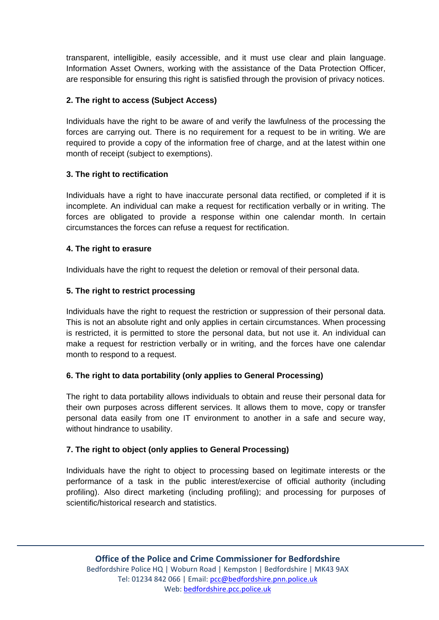transparent, intelligible, easily accessible, and it must use clear and plain language. Information Asset Owners, working with the assistance of the Data Protection Officer, are responsible for ensuring this right is satisfied through the provision of privacy notices.

# **2. The right to access (Subject Access)**

Individuals have the right to be aware of and verify the lawfulness of the processing the forces are carrying out. There is no requirement for a request to be in writing. We are required to provide a copy of the information free of charge, and at the latest within one month of receipt (subject to exemptions).

# **3. The right to rectification**

Individuals have a right to have inaccurate personal data rectified, or completed if it is incomplete. An individual can make a request for rectification verbally or in writing. The forces are obligated to provide a response within one calendar month. In certain circumstances the forces can refuse a request for rectification.

# **4. The right to erasure**

Individuals have the right to request the deletion or removal of their personal data.

# **5. The right to restrict processing**

Individuals have the right to request the restriction or suppression of their personal data. This is not an absolute right and only applies in certain circumstances. When processing is restricted, it is permitted to store the personal data, but not use it. An individual can make a request for restriction verbally or in writing, and the forces have one calendar month to respond to a request.

# **6. The right to data portability (only applies to General Processing)**

The right to data portability allows individuals to obtain and reuse their personal data for their own purposes across different services. It allows them to move, copy or transfer personal data easily from one IT environment to another in a safe and secure way, without hindrance to usability.

# **7. The right to object (only applies to General Processing)**

Individuals have the right to object to processing based on legitimate interests or the performance of a task in the public interest/exercise of official authority (including profiling). Also direct marketing (including profiling); and processing for purposes of scientific/historical research and statistics.